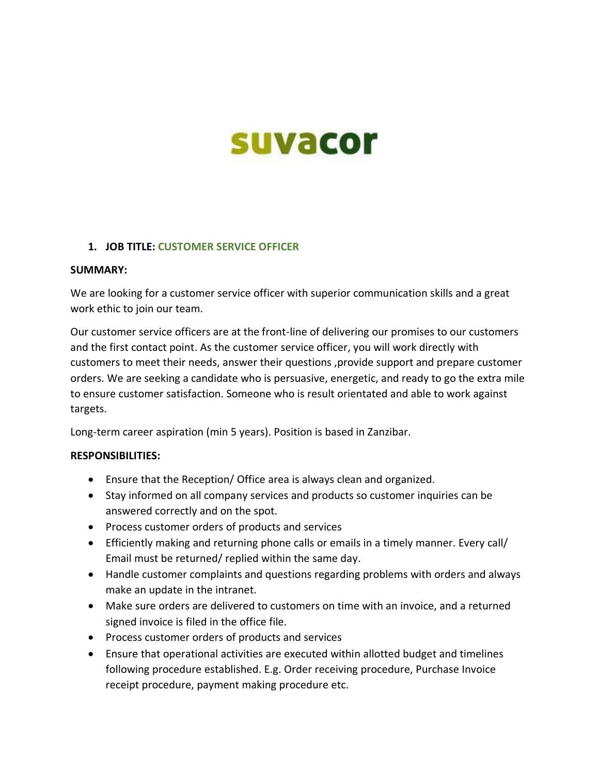# suvacor

## **1. JOB TITLE: CUSTOMER SERVICE OFFICER**

#### **SUMMARY:**

We are looking for a customer service officer with superior communication skills and a great work ethic to join our team.

Our customer service officers are at the front-line of delivering our promises to our customers and the first contact point. As the customer service officer, you will work directly with customers to meet their needs, answer their questions ,provide support and prepare customer orders. We are seeking a candidate who is persuasive, energetic, and ready to go the extra mile to ensure customer satisfaction. Someone who is result orientated and able to work against targets.

Long-term career aspiration (min 5 years). Position is based in Zanzibar.

## **RESPONSIBILITIES:**

- Ensure that the Reception/ Office area is always clean and organized.
- Stay informed on all company services and products so customer inquiries can be answered correctly and on the spot.
- Process customer orders of products and services
- Efficiently making and returning phone calls or emails in a timely manner. Every call/ Email must be returned/ replied within the same day.
- Handle customer complaints and questions regarding problems with orders and always make an update in the intranet.
- Make sure orders are delivered to customers on time with an invoice, and a returned signed invoice is filed in the office file.
- Process customer orders of products and services
- Ensure that operational activities are executed within allotted budget and timelines following procedure established. E.g. Order receiving procedure, Purchase Invoice receipt procedure, payment making procedure etc.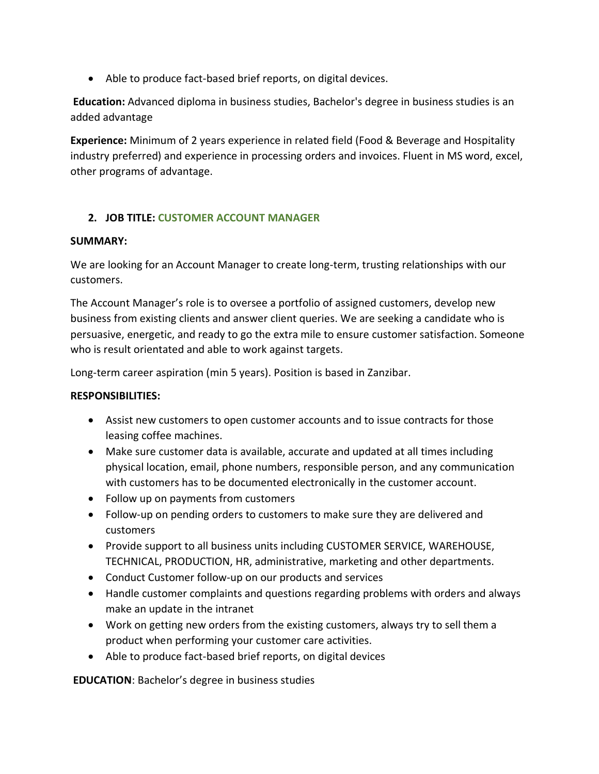• Able to produce fact-based brief reports, on digital devices.

**Education:** Advanced diploma in business studies, Bachelor's degree in business studies is an added advantage

**Experience:** Minimum of 2 years experience in related field (Food & Beverage and Hospitality industry preferred) and experience in processing orders and invoices. Fluent in MS word, excel, other programs of advantage.

# **2. JOB TITLE: CUSTOMER ACCOUNT MANAGER**

## **SUMMARY:**

We are looking for an Account Manager to create long-term, trusting relationships with our customers.

The Account Manager's role is to oversee a portfolio of assigned customers, develop new business from existing clients and answer client queries. We are seeking a candidate who is persuasive, energetic, and ready to go the extra mile to ensure customer satisfaction. Someone who is result orientated and able to work against targets.

Long-term career aspiration (min 5 years). Position is based in Zanzibar.

## **RESPONSIBILITIES:**

- Assist new customers to open customer accounts and to issue contracts for those leasing coffee machines.
- Make sure customer data is available, accurate and updated at all times including physical location, email, phone numbers, responsible person, and any communication with customers has to be documented electronically in the customer account.
- Follow up on payments from customers
- Follow-up on pending orders to customers to make sure they are delivered and customers
- Provide support to all business units including CUSTOMER SERVICE, WAREHOUSE, TECHNICAL, PRODUCTION, HR, administrative, marketing and other departments.
- Conduct Customer follow-up on our products and services
- Handle customer complaints and questions regarding problems with orders and always make an update in the intranet
- Work on getting new orders from the existing customers, always try to sell them a product when performing your customer care activities.
- Able to produce fact-based brief reports, on digital devices

**EDUCATION**: Bachelor's degree in business studies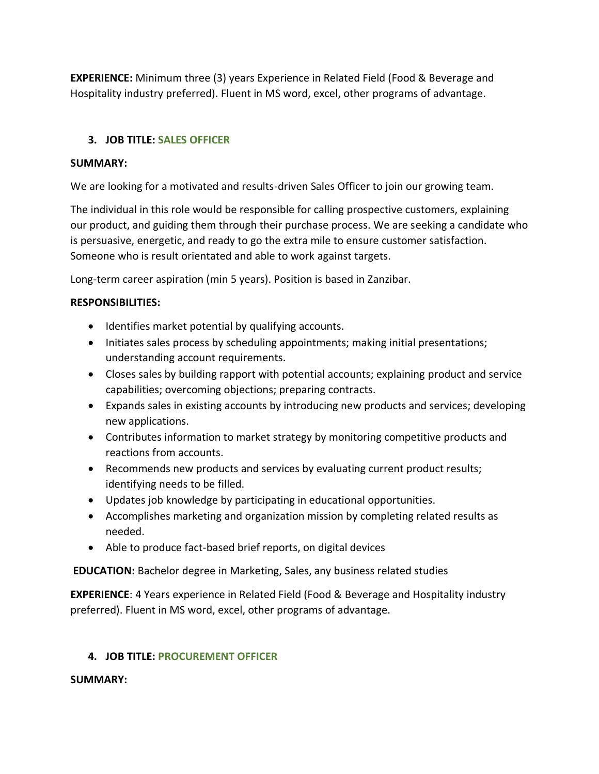**EXPERIENCE:** Minimum three (3) years Experience in Related Field (Food & Beverage and Hospitality industry preferred). Fluent in MS word, excel, other programs of advantage.

# **3. JOB TITLE: SALES OFFICER**

# **SUMMARY:**

We are looking for a motivated and results-driven Sales Officer to join our growing team.

The individual in this role would be responsible for calling prospective customers, explaining our product, and guiding them through their purchase process. We are seeking a candidate who is persuasive, energetic, and ready to go the extra mile to ensure customer satisfaction. Someone who is result orientated and able to work against targets.

Long-term career aspiration (min 5 years). Position is based in Zanzibar.

## **RESPONSIBILITIES:**

- Identifies market potential by qualifying accounts.
- Initiates sales process by scheduling appointments; making initial presentations; understanding account requirements.
- Closes sales by building rapport with potential accounts; explaining product and service capabilities; overcoming objections; preparing contracts.
- Expands sales in existing accounts by introducing new products and services; developing new applications.
- Contributes information to market strategy by monitoring competitive products and reactions from accounts.
- Recommends new products and services by evaluating current product results; identifying needs to be filled.
- Updates job knowledge by participating in educational opportunities.
- Accomplishes marketing and organization mission by completing related results as needed.
- Able to produce fact-based brief reports, on digital devices

**EDUCATION:** Bachelor degree in Marketing, Sales, any business related studies

**EXPERIENCE**: 4 Years experience in Related Field (Food & Beverage and Hospitality industry preferred). Fluent in MS word, excel, other programs of advantage.

# **4. JOB TITLE: PROCUREMENT OFFICER**

## **SUMMARY:**